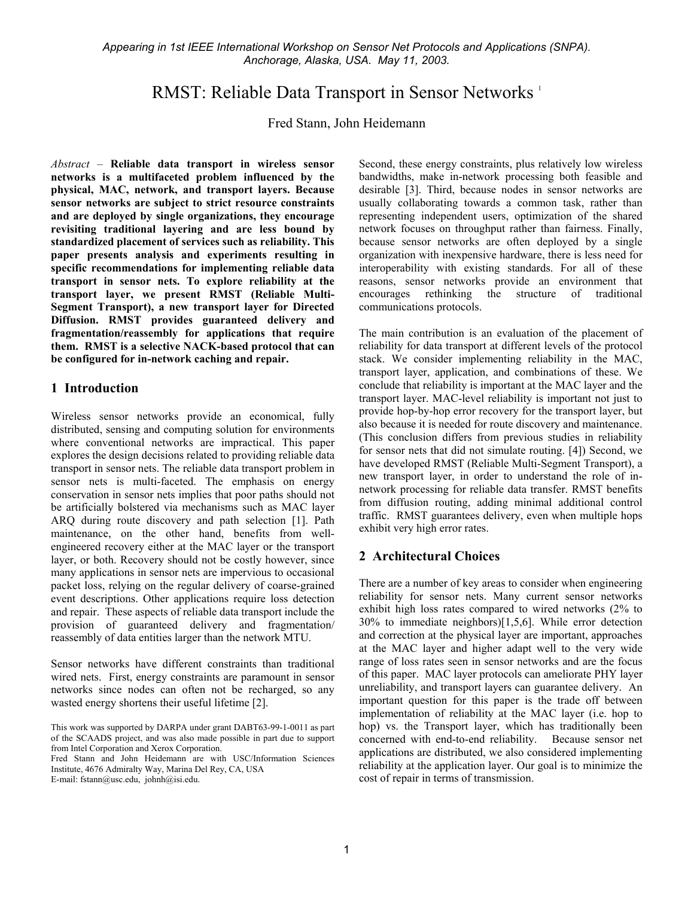*Appearing in 1st IEEE International Workshop on Sensor Net Protocols and Applications (SNPA). Anchorage, Alaska, USA. May 11, 2003.* 

# RMST: Reliable Data Transport in Sensor Networks <sup>1</sup>

Fred Stann, John Heidemann

*Abstract* – **Reliable data transport in wireless sensor networks is a multifaceted problem influenced by the physical, MAC, network, and transport layers. Because sensor networks are subject to strict resource constraints and are deployed by single organizations, they encourage revisiting traditional layering and are less bound by standardized placement of services such as reliability. This paper presents analysis and experiments resulting in specific recommendations for implementing reliable data transport in sensor nets. To explore reliability at the transport layer, we present RMST (Reliable Multi-Segment Transport), a new transport layer for Directed Diffusion. RMST provides guaranteed delivery and fragmentation/reassembly for applications that require them. RMST is a selective NACK-based protocol that can be configured for in-network caching and repair.** 

#### **1 Introduction**

Wireless sensor networks provide an economical, fully distributed, sensing and computing solution for environments where conventional networks are impractical. This paper explores the design decisions related to providing reliable data transport in sensor nets. The reliable data transport problem in sensor nets is multi-faceted. The emphasis on energy conservation in sensor nets implies that poor paths should not be artificially bolstered via mechanisms such as MAC layer ARQ during route discovery and path selection [1]. Path maintenance, on the other hand, benefits from wellengineered recovery either at the MAC layer or the transport layer, or both. Recovery should not be costly however, since many applications in sensor nets are impervious to occasional packet loss, relying on the regular delivery of coarse-grained event descriptions. Other applications require loss detection and repair. These aspects of reliable data transport include the provision of guaranteed delivery and fragmentation/ reassembly of data entities larger than the network MTU.

Sensor networks have different constraints than traditional wired nets. First, energy constraints are paramount in sensor networks since nodes can often not be recharged, so any wasted energy shortens their useful lifetime [2].

Fred Stann and John Heidemann are with USC/Information Sciences Institute, 4676 Admiralty Way, Marina Del Rey, CA, USA E-mail: fstann@usc.edu, johnh@isi.edu.

Second, these energy constraints, plus relatively low wireless bandwidths, make in-network processing both feasible and desirable [3]. Third, because nodes in sensor networks are usually collaborating towards a common task, rather than representing independent users, optimization of the shared network focuses on throughput rather than fairness. Finally, because sensor networks are often deployed by a single organization with inexpensive hardware, there is less need for interoperability with existing standards. For all of these reasons, sensor networks provide an environment that encourages rethinking the structure of traditional communications protocols.

The main contribution is an evaluation of the placement of reliability for data transport at different levels of the protocol stack. We consider implementing reliability in the MAC, transport layer, application, and combinations of these. We conclude that reliability is important at the MAC layer and the transport layer. MAC-level reliability is important not just to provide hop-by-hop error recovery for the transport layer, but also because it is needed for route discovery and maintenance. (This conclusion differs from previous studies in reliability for sensor nets that did not simulate routing. [4]) Second, we have developed RMST (Reliable Multi-Segment Transport), a new transport layer, in order to understand the role of innetwork processing for reliable data transfer. RMST benefits from diffusion routing, adding minimal additional control traffic. RMST guarantees delivery, even when multiple hops exhibit very high error rates.

### **2 Architectural Choices**

There are a number of key areas to consider when engineering reliability for sensor nets. Many current sensor networks exhibit high loss rates compared to wired networks (2% to 30% to immediate neighbors)[1,5,6]. While error detection and correction at the physical layer are important, approaches at the MAC layer and higher adapt well to the very wide range of loss rates seen in sensor networks and are the focus of this paper. MAC layer protocols can ameliorate PHY layer unreliability, and transport layers can guarantee delivery. An important question for this paper is the trade off between implementation of reliability at the MAC layer (i.e. hop to hop) vs. the Transport layer, which has traditionally been concerned with end-to-end reliability. Because sensor net applications are distributed, we also considered implementing reliability at the application layer. Our goal is to minimize the cost of repair in terms of transmission.

This work was supported by DARPA under grant DABT63-99-1-0011 as part of the SCAADS project, and was also made possible in part due to support from Intel Corporation and Xerox Corporation.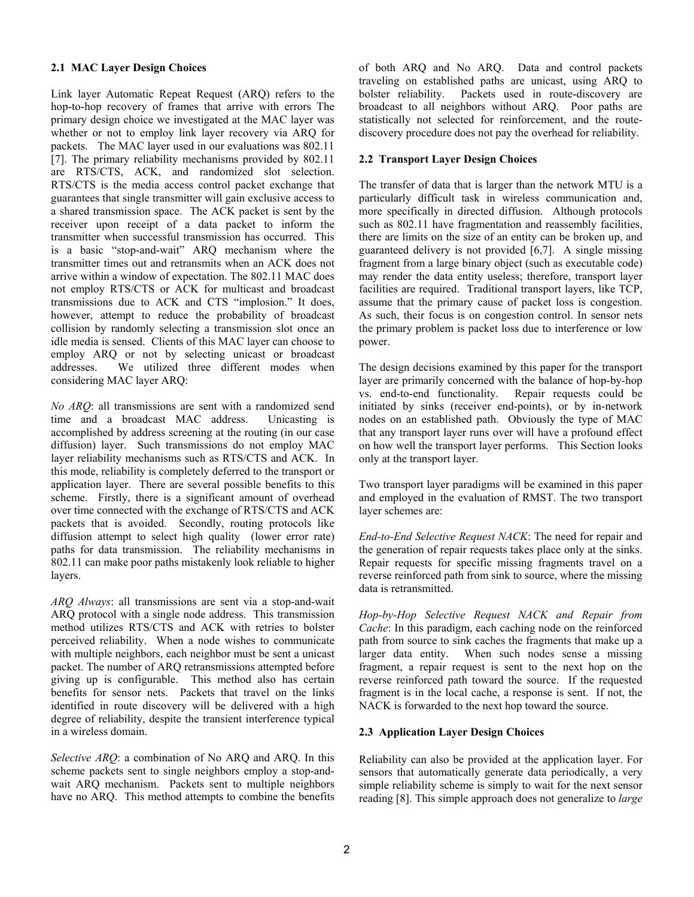#### **2.1 MAC Layer Design Choices**

Link layer Automatic Repeat Request (ARQ) refers to the hop-to-hop recovery of frames that arrive with errors The primary design choice we investigated at the MAC layer was whether or not to employ link layer recovery via ARQ for packets. The MAC layer used in our evaluations was 802.11 [7]. The primary reliability mechanisms provided by 802.11 are RTS/CTS, ACK, and randomized slot selection. RTS/CTS is the media access control packet exchange that guarantees that single transmitter will gain exclusive access to a shared transmission space. The ACK packet is sent by the receiver upon receipt of a data packet to inform the transmitter when successful transmission has occurred. This is a basic "stop-and-wait" ARQ mechanism where the transmitter times out and retransmits when an ACK does not arrive within a window of expectation. The 802.11 MAC does not employ RTS/CTS or ACK for multicast and broadcast transmissions due to ACK and CTS "implosion." It does, however, attempt to reduce the probability of broadcast collision by randomly selecting a transmission slot once an idle media is sensed. Clients of this MAC layer can choose to employ ARQ or not by selecting unicast or broadcast addresses. We utilized three different modes when considering MAC layer ARQ:

*No ARQ*: all transmissions are sent with a randomized send time and a broadcast MAC address. Unicasting is accomplished by address screening at the routing (in our case diffusion) layer. Such transmissions do not employ MAC layer reliability mechanisms such as RTS/CTS and ACK. In this mode, reliability is completely deferred to the transport or application layer. There are several possible benefits to this scheme. Firstly, there is a significant amount of overhead over time connected with the exchange of RTS/CTS and ACK packets that is avoided. Secondly, routing protocols like diffusion attempt to select high quality (lower error rate) paths for data transmission. The reliability mechanisms in 802.11 can make poor paths mistakenly look reliable to higher layers.

*ARQ Always*: all transmissions are sent via a stop-and-wait ARQ protocol with a single node address. This transmission method utilizes RTS/CTS and ACK with retries to bolster perceived reliability. When a node wishes to communicate with multiple neighbors, each neighbor must be sent a unicast packet. The number of ARQ retransmissions attempted before giving up is configurable. This method also has certain benefits for sensor nets. Packets that travel on the links identified in route discovery will be delivered with a high degree of reliability, despite the transient interference typical in a wireless domain.

*Selective ARQ*: a combination of No ARQ and ARQ. In this scheme packets sent to single neighbors employ a stop-andwait ARQ mechanism. Packets sent to multiple neighbors have no ARQ. This method attempts to combine the benefits

of both ARQ and No ARQ. Data and control packets traveling on established paths are unicast, using ARQ to bolster reliability. Packets used in route-discovery are broadcast to all neighbors without ARQ. Poor paths are statistically not selected for reinforcement, and the routediscovery procedure does not pay the overhead for reliability.

#### **2.2 Transport Layer Design Choices**

The transfer of data that is larger than the network MTU is a particularly difficult task in wireless communication and, more specifically in directed diffusion. Although protocols such as 802.11 have fragmentation and reassembly facilities, there are limits on the size of an entity can be broken up, and guaranteed delivery is not provided [6,7]. A single missing fragment from a large binary object (such as executable code) may render the data entity useless; therefore, transport layer facilities are required. Traditional transport layers, like TCP, assume that the primary cause of packet loss is congestion. As such, their focus is on congestion control. In sensor nets the primary problem is packet loss due to interference or low power.

The design decisions examined by this paper for the transport layer are primarily concerned with the balance of hop-by-hop vs. end-to-end functionality. Repair requests could be initiated by sinks (receiver end-points), or by in-network nodes on an established path. Obviously the type of MAC that any transport layer runs over will have a profound effect on how well the transport layer performs. This Section looks only at the transport layer.

Two transport layer paradigms will be examined in this paper and employed in the evaluation of RMST. The two transport layer schemes are:

*End-to-End Selective Request NACK*: The need for repair and the generation of repair requests takes place only at the sinks. Repair requests for specific missing fragments travel on a reverse reinforced path from sink to source, where the missing data is retransmitted.

*Hop-by-Hop Selective Request NACK and Repair from Cache*: In this paradigm, each caching node on the reinforced path from source to sink caches the fragments that make up a larger data entity. When such nodes sense a missing fragment, a repair request is sent to the next hop on the reverse reinforced path toward the source. If the requested fragment is in the local cache, a response is sent. If not, the NACK is forwarded to the next hop toward the source.

### **2.3 Application Layer Design Choices**

Reliability can also be provided at the application layer. For sensors that automatically generate data periodically, a very simple reliability scheme is simply to wait for the next sensor reading [8]. This simple approach does not generalize to *large*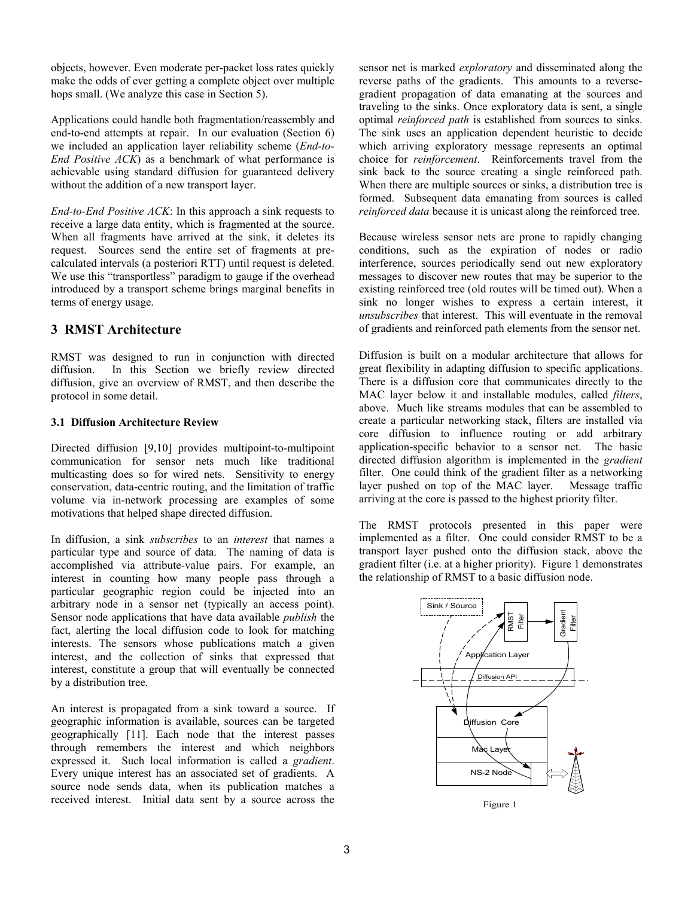objects, however. Even moderate per-packet loss rates quickly make the odds of ever getting a complete object over multiple hops small. (We analyze this case in Section 5).

Applications could handle both fragmentation/reassembly and end-to-end attempts at repair. In our evaluation (Section 6) we included an application layer reliability scheme (*End-to-End Positive ACK*) as a benchmark of what performance is achievable using standard diffusion for guaranteed delivery without the addition of a new transport layer.

*End-to-End Positive ACK*: In this approach a sink requests to receive a large data entity, which is fragmented at the source. When all fragments have arrived at the sink, it deletes its request. Sources send the entire set of fragments at precalculated intervals (a posteriori RTT) until request is deleted. We use this "transportless" paradigm to gauge if the overhead introduced by a transport scheme brings marginal benefits in terms of energy usage.

# **3 RMST Architecture**

RMST was designed to run in conjunction with directed diffusion. In this Section we briefly review directed diffusion, give an overview of RMST, and then describe the protocol in some detail.

#### **3.1 Diffusion Architecture Review**

Directed diffusion [9,10] provides multipoint-to-multipoint communication for sensor nets much like traditional multicasting does so for wired nets. Sensitivity to energy conservation, data-centric routing, and the limitation of traffic volume via in-network processing are examples of some motivations that helped shape directed diffusion.

In diffusion, a sink *subscribes* to an *interest* that names a particular type and source of data. The naming of data is accomplished via attribute-value pairs. For example, an interest in counting how many people pass through a particular geographic region could be injected into an arbitrary node in a sensor net (typically an access point). Sensor node applications that have data available *publish* the fact, alerting the local diffusion code to look for matching interests. The sensors whose publications match a given interest, and the collection of sinks that expressed that interest, constitute a group that will eventually be connected by a distribution tree.

An interest is propagated from a sink toward a source. If geographic information is available, sources can be targeted geographically [11]. Each node that the interest passes through remembers the interest and which neighbors expressed it. Such local information is called a *gradient*. Every unique interest has an associated set of gradients. A source node sends data, when its publication matches a received interest. Initial data sent by a source across the sensor net is marked *exploratory* and disseminated along the reverse paths of the gradients. This amounts to a reversegradient propagation of data emanating at the sources and traveling to the sinks. Once exploratory data is sent, a single optimal *reinforced path* is established from sources to sinks. The sink uses an application dependent heuristic to decide which arriving exploratory message represents an optimal choice for *reinforcement*. Reinforcements travel from the sink back to the source creating a single reinforced path. When there are multiple sources or sinks, a distribution tree is formed. Subsequent data emanating from sources is called *reinforced data* because it is unicast along the reinforced tree.

Because wireless sensor nets are prone to rapidly changing conditions, such as the expiration of nodes or radio interference, sources periodically send out new exploratory messages to discover new routes that may be superior to the existing reinforced tree (old routes will be timed out). When a sink no longer wishes to express a certain interest, it *unsubscribes* that interest. This will eventuate in the removal of gradients and reinforced path elements from the sensor net.

Diffusion is built on a modular architecture that allows for great flexibility in adapting diffusion to specific applications. There is a diffusion core that communicates directly to the MAC layer below it and installable modules, called *filters*, above. Much like streams modules that can be assembled to create a particular networking stack, filters are installed via core diffusion to influence routing or add arbitrary application-specific behavior to a sensor net. The basic directed diffusion algorithm is implemented in the *gradient* filter. One could think of the gradient filter as a networking layer pushed on top of the MAC layer. Message traffic arriving at the core is passed to the highest priority filter.

The RMST protocols presented in this paper were implemented as a filter. One could consider RMST to be a transport layer pushed onto the diffusion stack, above the gradient filter (i.e. at a higher priority). Figure 1 demonstrates the relationship of RMST to a basic diffusion node.

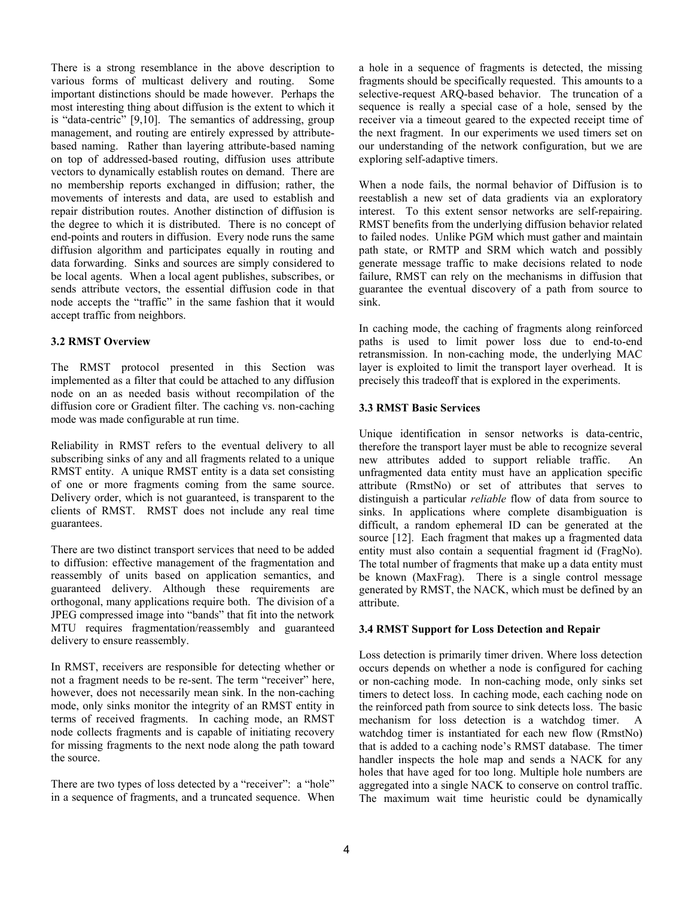There is a strong resemblance in the above description to various forms of multicast delivery and routing. Some important distinctions should be made however. Perhaps the most interesting thing about diffusion is the extent to which it is "data-centric" [9,10]. The semantics of addressing, group management, and routing are entirely expressed by attributebased naming. Rather than layering attribute-based naming on top of addressed-based routing, diffusion uses attribute vectors to dynamically establish routes on demand. There are no membership reports exchanged in diffusion; rather, the movements of interests and data, are used to establish and repair distribution routes. Another distinction of diffusion is the degree to which it is distributed. There is no concept of end-points and routers in diffusion. Every node runs the same diffusion algorithm and participates equally in routing and data forwarding. Sinks and sources are simply considered to be local agents. When a local agent publishes, subscribes, or sends attribute vectors, the essential diffusion code in that node accepts the "traffic" in the same fashion that it would accept traffic from neighbors.

#### **3.2 RMST Overview**

The RMST protocol presented in this Section was implemented as a filter that could be attached to any diffusion node on an as needed basis without recompilation of the diffusion core or Gradient filter. The caching vs. non-caching mode was made configurable at run time.

Reliability in RMST refers to the eventual delivery to all subscribing sinks of any and all fragments related to a unique RMST entity. A unique RMST entity is a data set consisting of one or more fragments coming from the same source. Delivery order, which is not guaranteed, is transparent to the clients of RMST. RMST does not include any real time guarantees.

There are two distinct transport services that need to be added to diffusion: effective management of the fragmentation and reassembly of units based on application semantics, and guaranteed delivery. Although these requirements are orthogonal, many applications require both. The division of a JPEG compressed image into "bands" that fit into the network MTU requires fragmentation/reassembly and guaranteed delivery to ensure reassembly.

In RMST, receivers are responsible for detecting whether or not a fragment needs to be re-sent. The term "receiver" here, however, does not necessarily mean sink. In the non-caching mode, only sinks monitor the integrity of an RMST entity in terms of received fragments. In caching mode, an RMST node collects fragments and is capable of initiating recovery for missing fragments to the next node along the path toward the source.

There are two types of loss detected by a "receiver": a "hole" in a sequence of fragments, and a truncated sequence. When a hole in a sequence of fragments is detected, the missing fragments should be specifically requested. This amounts to a selective-request ARQ-based behavior. The truncation of a sequence is really a special case of a hole, sensed by the receiver via a timeout geared to the expected receipt time of the next fragment. In our experiments we used timers set on our understanding of the network configuration, but we are exploring self-adaptive timers.

When a node fails, the normal behavior of Diffusion is to reestablish a new set of data gradients via an exploratory interest. To this extent sensor networks are self-repairing. RMST benefits from the underlying diffusion behavior related to failed nodes. Unlike PGM which must gather and maintain path state, or RMTP and SRM which watch and possibly generate message traffic to make decisions related to node failure, RMST can rely on the mechanisms in diffusion that guarantee the eventual discovery of a path from source to sink.

In caching mode, the caching of fragments along reinforced paths is used to limit power loss due to end-to-end retransmission. In non-caching mode, the underlying MAC layer is exploited to limit the transport layer overhead. It is precisely this tradeoff that is explored in the experiments.

### **3.3 RMST Basic Services**

Unique identification in sensor networks is data-centric, therefore the transport layer must be able to recognize several new attributes added to support reliable traffic. An unfragmented data entity must have an application specific attribute (RmstNo) or set of attributes that serves to distinguish a particular *reliable* flow of data from source to sinks. In applications where complete disambiguation is difficult, a random ephemeral ID can be generated at the source [12]. Each fragment that makes up a fragmented data entity must also contain a sequential fragment id (FragNo). The total number of fragments that make up a data entity must be known (MaxFrag). There is a single control message generated by RMST, the NACK, which must be defined by an attribute.

#### **3.4 RMST Support for Loss Detection and Repair**

Loss detection is primarily timer driven. Where loss detection occurs depends on whether a node is configured for caching or non-caching mode. In non-caching mode, only sinks set timers to detect loss. In caching mode, each caching node on the reinforced path from source to sink detects loss. The basic mechanism for loss detection is a watchdog timer. A watchdog timer is instantiated for each new flow (RmstNo) that is added to a caching node's RMST database. The timer handler inspects the hole map and sends a NACK for any holes that have aged for too long. Multiple hole numbers are aggregated into a single NACK to conserve on control traffic. The maximum wait time heuristic could be dynamically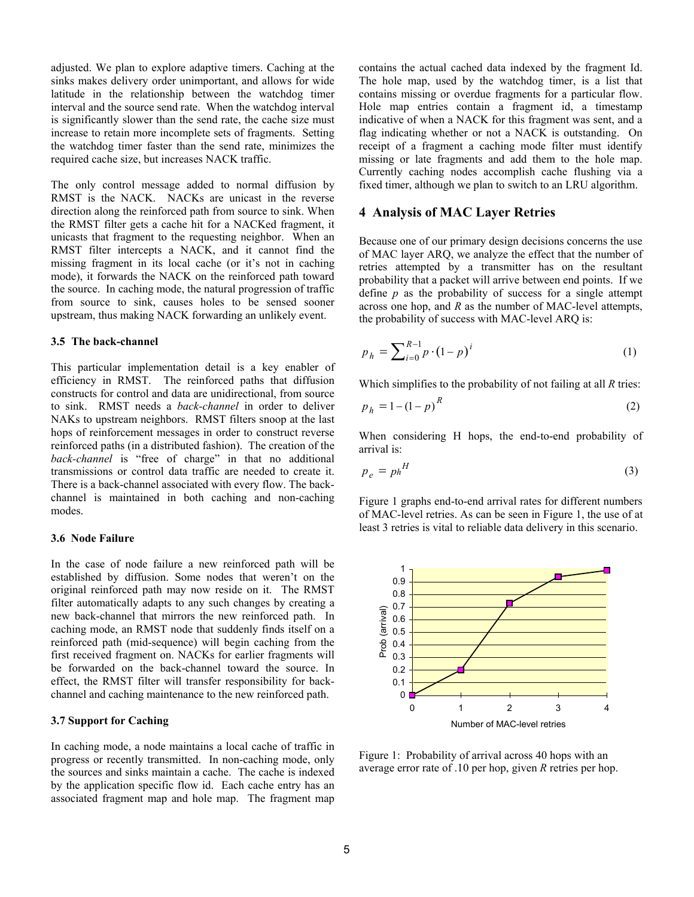adjusted. We plan to explore adaptive timers. Caching at the sinks makes delivery order unimportant, and allows for wide latitude in the relationship between the watchdog timer interval and the source send rate. When the watchdog interval is significantly slower than the send rate, the cache size must increase to retain more incomplete sets of fragments. Setting the watchdog timer faster than the send rate, minimizes the required cache size, but increases NACK traffic.

The only control message added to normal diffusion by RMST is the NACK. NACKs are unicast in the reverse direction along the reinforced path from source to sink. When the RMST filter gets a cache hit for a NACKed fragment, it unicasts that fragment to the requesting neighbor. When an RMST filter intercepts a NACK, and it cannot find the missing fragment in its local cache (or it's not in caching mode), it forwards the NACK on the reinforced path toward the source. In caching mode, the natural progression of traffic from source to sink, causes holes to be sensed sooner upstream, thus making NACK forwarding an unlikely event.

#### **3.5 The back-channel**

This particular implementation detail is a key enabler of efficiency in RMST. The reinforced paths that diffusion constructs for control and data are unidirectional, from source to sink. RMST needs a *back-channel* in order to deliver NAKs to upstream neighbors. RMST filters snoop at the last hops of reinforcement messages in order to construct reverse reinforced paths (in a distributed fashion). The creation of the *back-channel* is "free of charge" in that no additional transmissions or control data traffic are needed to create it. There is a back-channel associated with every flow. The backchannel is maintained in both caching and non-caching modes.

#### **3.6 Node Failure**

In the case of node failure a new reinforced path will be established by diffusion. Some nodes that weren't on the original reinforced path may now reside on it. The RMST filter automatically adapts to any such changes by creating a new back-channel that mirrors the new reinforced path. In caching mode, an RMST node that suddenly finds itself on a reinforced path (mid-sequence) will begin caching from the first received fragment on. NACKs for earlier fragments will be forwarded on the back-channel toward the source. In effect, the RMST filter will transfer responsibility for backchannel and caching maintenance to the new reinforced path.

#### **3.7 Support for Caching**

In caching mode, a node maintains a local cache of traffic in progress or recently transmitted. In non-caching mode, only the sources and sinks maintain a cache. The cache is indexed by the application specific flow id. Each cache entry has an associated fragment map and hole map. The fragment map

contains the actual cached data indexed by the fragment Id. The hole map, used by the watchdog timer, is a list that contains missing or overdue fragments for a particular flow. Hole map entries contain a fragment id, a timestamp indicative of when a NACK for this fragment was sent, and a flag indicating whether or not a NACK is outstanding. On receipt of a fragment a caching mode filter must identify missing or late fragments and add them to the hole map. Currently caching nodes accomplish cache flushing via a fixed timer, although we plan to switch to an LRU algorithm.

### **4 Analysis of MAC Layer Retries**

Because one of our primary design decisions concerns the use of MAC layer ARQ, we analyze the effect that the number of retries attempted by a transmitter has on the resultant probability that a packet will arrive between end points. If we define *p* as the probability of success for a single attempt across one hop, and *R* as the number of MAC-level attempts, the probability of success with MAC-level ARQ is:

$$
p_h = \sum_{i=0}^{R-1} p \cdot (1-p)^i \tag{1}
$$

Which simplifies to the probability of not failing at all *R* tries:

$$
p_h = 1 - \left(1 - p\right)^R\tag{2}
$$

When considering H hops, the end-to-end probability of arrival is:

$$
p_e = p h^H \tag{3}
$$

Figure 1 graphs end-to-end arrival rates for different numbers of MAC-level retries. As can be seen in Figure 1, the use of at least 3 retries is vital to reliable data delivery in this scenario.



Figure 1: Probability of arrival across 40 hops with an average error rate of .10 per hop, given *R* retries per hop.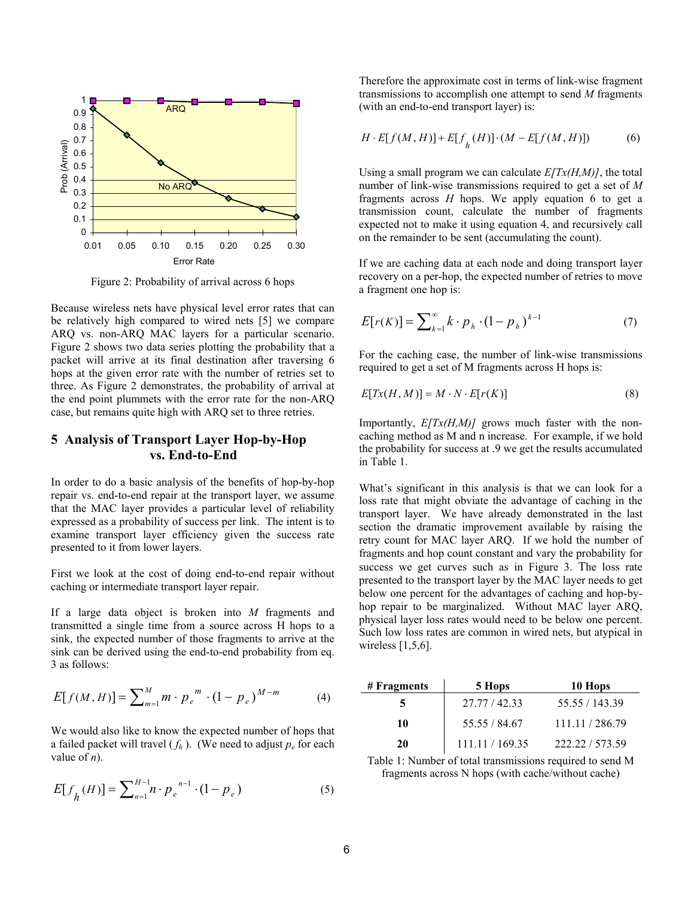

Figure 2: Probability of arrival across 6 hops

Because wireless nets have physical level error rates that can be relatively high compared to wired nets [5] we compare ARQ vs. non-ARQ MAC layers for a particular scenario. Figure 2 shows two data series plotting the probability that a packet will arrive at its final destination after traversing 6 hops at the given error rate with the number of retries set to three. As Figure 2 demonstrates, the probability of arrival at the end point plummets with the error rate for the non-ARQ case, but remains quite high with ARQ set to three retries.

### **5 Analysis of Transport Layer Hop-by-Hop vs. End-to-End**

In order to do a basic analysis of the benefits of hop-by-hop repair vs. end-to-end repair at the transport layer, we assume that the MAC layer provides a particular level of reliability expressed as a probability of success per link. The intent is to examine transport layer efficiency given the success rate presented to it from lower layers.

First we look at the cost of doing end-to-end repair without caching or intermediate transport layer repair.

If a large data object is broken into *M* fragments and transmitted a single time from a source across H hops to a sink, the expected number of those fragments to arrive at the sink can be derived using the end-to-end probability from eq. 3 as follows:

$$
E[f(M, H)] = \sum_{m=1}^{M} m \cdot p_e^{m} \cdot (1 - p_e)^{M - m}
$$
 (4)

We would also like to know the expected number of hops that a failed packet will travel  $(f_h)$ . (We need to adjust  $p_e$  for each value of *n*).

$$
E[f_h(H)] = \sum_{n=1}^{H-1} n \cdot p_e^{n-1} \cdot (1 - p_e)
$$
 (5)

Therefore the approximate cost in terms of link-wise fragment transmissions to accomplish one attempt to send *M* fragments (with an end-to-end transport layer) is:

$$
H \cdot E[f(M, H)] + E[fh(H)] \cdot (M - E[f(M, H)])
$$
 (6)

Using a small program we can calculate  $E/Tx(H,M)$ , the total number of link-wise transmissions required to get a set of *M* fragments across *H* hops. We apply equation 6 to get a transmission count, calculate the number of fragments expected not to make it using equation 4, and recursively call on the remainder to be sent (accumulating the count).

If we are caching data at each node and doing transport layer recovery on a per-hop, the expected number of retries to move a fragment one hop is:

$$
E[r(K)] = \sum_{k=1}^{\infty} k \cdot p_h \cdot (1 - p_h)^{k-1}
$$
 (7)

For the caching case, the number of link-wise transmissions required to get a set of M fragments across H hops is:

$$
E[Tx(H, M)] = M \cdot N \cdot E[r(K)] \tag{8}
$$

Importantly, *E[Tx(H,M)]* grows much faster with the noncaching method as M and n increase. For example, if we hold the probability for success at .9 we get the results accumulated in Table 1.

What's significant in this analysis is that we can look for a loss rate that might obviate the advantage of caching in the transport layer. We have already demonstrated in the last section the dramatic improvement available by raising the retry count for MAC layer ARQ. If we hold the number of fragments and hop count constant and vary the probability for success we get curves such as in Figure 3. The loss rate presented to the transport layer by the MAC layer needs to get below one percent for the advantages of caching and hop-byhop repair to be marginalized. Without MAC layer ARQ, physical layer loss rates would need to be below one percent. Such low loss rates are common in wired nets, but atypical in wireless  $[1,5,6]$ .

| # Fragments | 5 Hops          | 10 Hops         |
|-------------|-----------------|-----------------|
|             | 27.77 / 42.33   | 55.55 / 143.39  |
| 10          | 55.55 / 84.67   | 111.11 / 286.79 |
| 20          | 111.11 / 169.35 | 222 22 / 573 59 |

Table 1: Number of total transmissions required to send M fragments across N hops (with cache/without cache)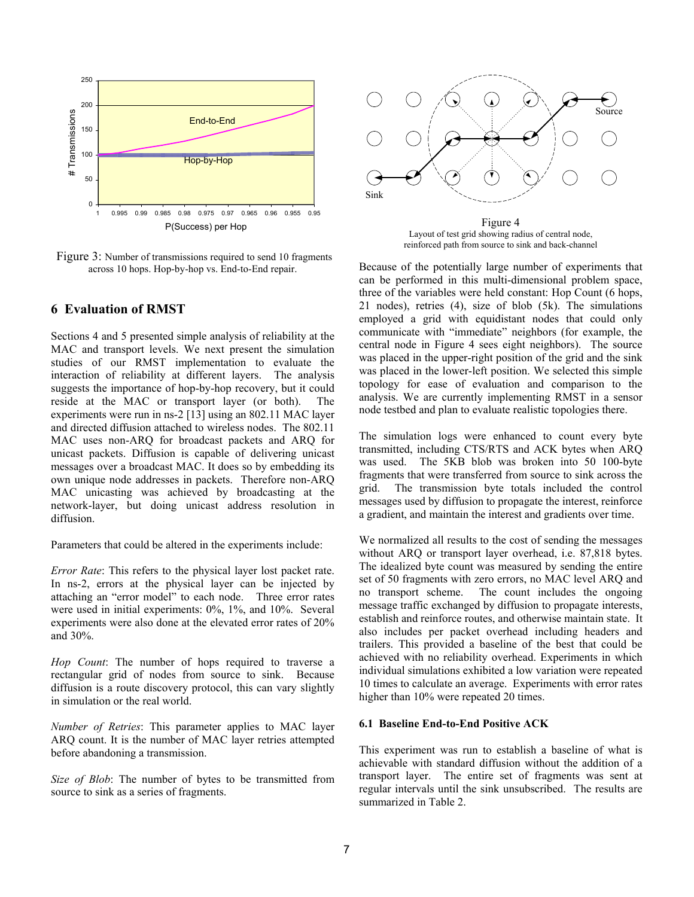

Figure 3: Number of transmissions required to send 10 fragments across 10 hops. Hop-by-hop vs. End-to-End repair.

### **6 Evaluation of RMST**

Sections 4 and 5 presented simple analysis of reliability at the MAC and transport levels. We next present the simulation studies of our RMST implementation to evaluate the interaction of reliability at different layers. The analysis suggests the importance of hop-by-hop recovery, but it could reside at the MAC or transport layer (or both). The experiments were run in ns-2 [13] using an 802.11 MAC layer and directed diffusion attached to wireless nodes. The 802.11 MAC uses non-ARQ for broadcast packets and ARQ for unicast packets. Diffusion is capable of delivering unicast messages over a broadcast MAC. It does so by embedding its own unique node addresses in packets. Therefore non-ARQ MAC unicasting was achieved by broadcasting at the network-layer, but doing unicast address resolution in diffusion.

Parameters that could be altered in the experiments include:

*Error Rate*: This refers to the physical layer lost packet rate. In ns-2, errors at the physical layer can be injected by attaching an "error model" to each node. Three error rates were used in initial experiments: 0%, 1%, and 10%. Several experiments were also done at the elevated error rates of 20% and 30%.

*Hop Count*: The number of hops required to traverse a rectangular grid of nodes from source to sink. Because diffusion is a route discovery protocol, this can vary slightly in simulation or the real world.

*Number of Retries*: This parameter applies to MAC layer ARQ count. It is the number of MAC layer retries attempted before abandoning a transmission.

*Size of Blob*: The number of bytes to be transmitted from source to sink as a series of fragments.



Figure 4 Layout of test grid showing radius of central node, reinforced path from source to sink and back-channel

Because of the potentially large number of experiments that can be performed in this multi-dimensional problem space, three of the variables were held constant: Hop Count (6 hops, 21 nodes), retries (4), size of blob (5k). The simulations employed a grid with equidistant nodes that could only communicate with "immediate" neighbors (for example, the central node in Figure 4 sees eight neighbors). The source was placed in the upper-right position of the grid and the sink was placed in the lower-left position. We selected this simple topology for ease of evaluation and comparison to the analysis. We are currently implementing RMST in a sensor node testbed and plan to evaluate realistic topologies there.

The simulation logs were enhanced to count every byte transmitted, including CTS/RTS and ACK bytes when ARQ was used. The 5KB blob was broken into 50 100-byte fragments that were transferred from source to sink across the grid. The transmission byte totals included the control messages used by diffusion to propagate the interest, reinforce a gradient, and maintain the interest and gradients over time.

We normalized all results to the cost of sending the messages without ARQ or transport layer overhead, i.e. 87,818 bytes. The idealized byte count was measured by sending the entire set of 50 fragments with zero errors, no MAC level ARQ and no transport scheme. The count includes the ongoing message traffic exchanged by diffusion to propagate interests, establish and reinforce routes, and otherwise maintain state. It also includes per packet overhead including headers and trailers. This provided a baseline of the best that could be achieved with no reliability overhead. Experiments in which individual simulations exhibited a low variation were repeated 10 times to calculate an average. Experiments with error rates higher than  $10\%$  were repeated 20 times.

#### **6.1 Baseline End-to-End Positive ACK**

This experiment was run to establish a baseline of what is achievable with standard diffusion without the addition of a transport layer. The entire set of fragments was sent at regular intervals until the sink unsubscribed. The results are summarized in Table 2.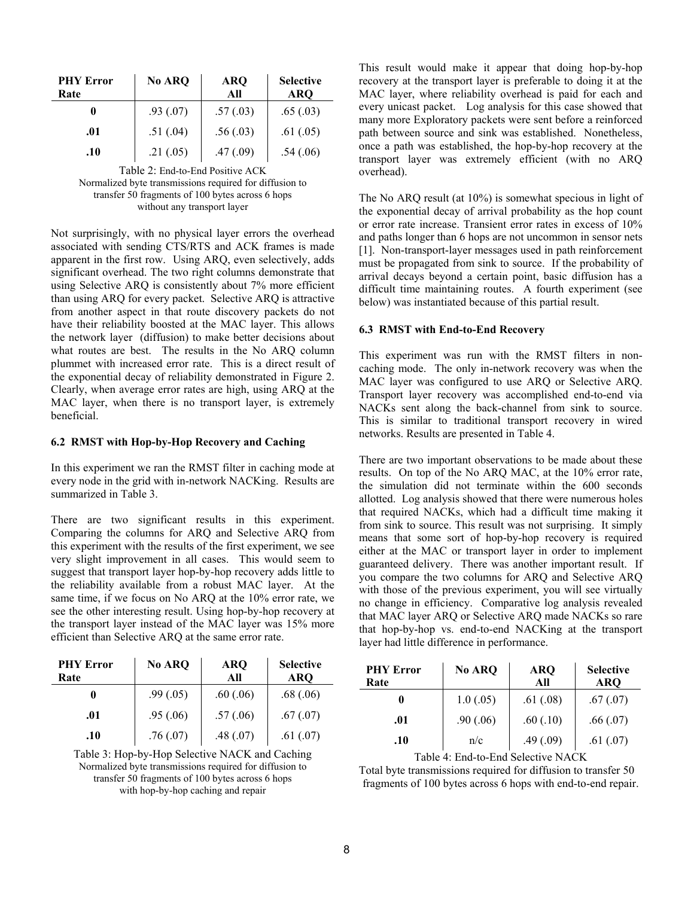| <b>PHY Error</b><br>Rate | No ARQ    | <b>ARQ</b><br>All | <b>Selective</b><br><b>ARO</b> |
|--------------------------|-----------|-------------------|--------------------------------|
| 0                        | .93(0.07) | .57(.03)          | .65(.03)                       |
| .01                      | .51(.04)  | .56(.03)          | .61(.05)                       |
| .10                      | .21(.05)  | .47(.09)          | .54(.06)                       |

Table 2: End-to-End Positive ACK Normalized byte transmissions required for diffusion to transfer 50 fragments of 100 bytes across 6 hops without any transport layer

Not surprisingly, with no physical layer errors the overhead associated with sending CTS/RTS and ACK frames is made apparent in the first row. Using ARQ, even selectively, adds significant overhead. The two right columns demonstrate that using Selective ARQ is consistently about 7% more efficient than using ARQ for every packet. Selective ARQ is attractive from another aspect in that route discovery packets do not have their reliability boosted at the MAC layer. This allows the network layer (diffusion) to make better decisions about what routes are best. The results in the No ARQ column plummet with increased error rate. This is a direct result of the exponential decay of reliability demonstrated in Figure 2. Clearly, when average error rates are high, using ARQ at the MAC layer, when there is no transport layer, is extremely beneficial.

#### **6.2 RMST with Hop-by-Hop Recovery and Caching**

In this experiment we ran the RMST filter in caching mode at every node in the grid with in-network NACKing. Results are summarized in Table 3.

There are two significant results in this experiment. Comparing the columns for ARQ and Selective ARQ from this experiment with the results of the first experiment, we see very slight improvement in all cases. This would seem to suggest that transport layer hop-by-hop recovery adds little to the reliability available from a robust MAC layer. At the same time, if we focus on No ARQ at the 10% error rate, we see the other interesting result. Using hop-by-hop recovery at the transport layer instead of the MAC layer was 15% more efficient than Selective ARQ at the same error rate.

| <b>PHY Error</b><br>Rate | No ARQ    | <b>ARQ</b><br>All | <b>Selective</b><br><b>ARQ</b> |
|--------------------------|-----------|-------------------|--------------------------------|
|                          | .99(0.05) | .60(.06)          | .68(.06)                       |
| .01                      | .95(.06)  | .57(.06)          | .67(.07)                       |
| .10                      | .76(.07)  | .48(.07)          | .61(.07)                       |

Table 3: Hop-by-Hop Selective NACK and Caching Normalized byte transmissions required for diffusion to transfer 50 fragments of 100 bytes across 6 hops with hop-by-hop caching and repair

This result would make it appear that doing hop-by-hop recovery at the transport layer is preferable to doing it at the MAC layer, where reliability overhead is paid for each and every unicast packet. Log analysis for this case showed that many more Exploratory packets were sent before a reinforced path between source and sink was established. Nonetheless, once a path was established, the hop-by-hop recovery at the transport layer was extremely efficient (with no ARQ overhead).

The No ARQ result (at 10%) is somewhat specious in light of the exponential decay of arrival probability as the hop count or error rate increase. Transient error rates in excess of 10% and paths longer than 6 hops are not uncommon in sensor nets [1]. Non-transport-layer messages used in path reinforcement must be propagated from sink to source. If the probability of arrival decays beyond a certain point, basic diffusion has a difficult time maintaining routes. A fourth experiment (see below) was instantiated because of this partial result.

#### **6.3 RMST with End-to-End Recovery**

This experiment was run with the RMST filters in noncaching mode. The only in-network recovery was when the MAC layer was configured to use ARQ or Selective ARQ. Transport layer recovery was accomplished end-to-end via NACKs sent along the back-channel from sink to source. This is similar to traditional transport recovery in wired networks. Results are presented in Table 4.

There are two important observations to be made about these results. On top of the No ARQ MAC, at the 10% error rate, the simulation did not terminate within the 600 seconds allotted. Log analysis showed that there were numerous holes that required NACKs, which had a difficult time making it from sink to source. This result was not surprising. It simply means that some sort of hop-by-hop recovery is required either at the MAC or transport layer in order to implement guaranteed delivery. There was another important result. If you compare the two columns for ARQ and Selective ARQ with those of the previous experiment, you will see virtually no change in efficiency. Comparative log analysis revealed that MAC layer ARQ or Selective ARQ made NACKs so rare that hop-by-hop vs. end-to-end NACKing at the transport layer had little difference in performance.

| <b>PHY Error</b><br>Rate | No ARQ    | <b>ARQ</b><br>All | <b>Selective</b><br><b>ARQ</b> |
|--------------------------|-----------|-------------------|--------------------------------|
|                          | 1.0(0.05) | .61(.08)          | .67(.07)                       |
| .01                      | .90(.06)  | .60(.10)          | .66(.07)                       |
| .10                      | n/c       | .49(.09)          | .61(0.07)                      |

Table 4: End-to-End Selective NACK

Total byte transmissions required for diffusion to transfer 50 fragments of 100 bytes across 6 hops with end-to-end repair.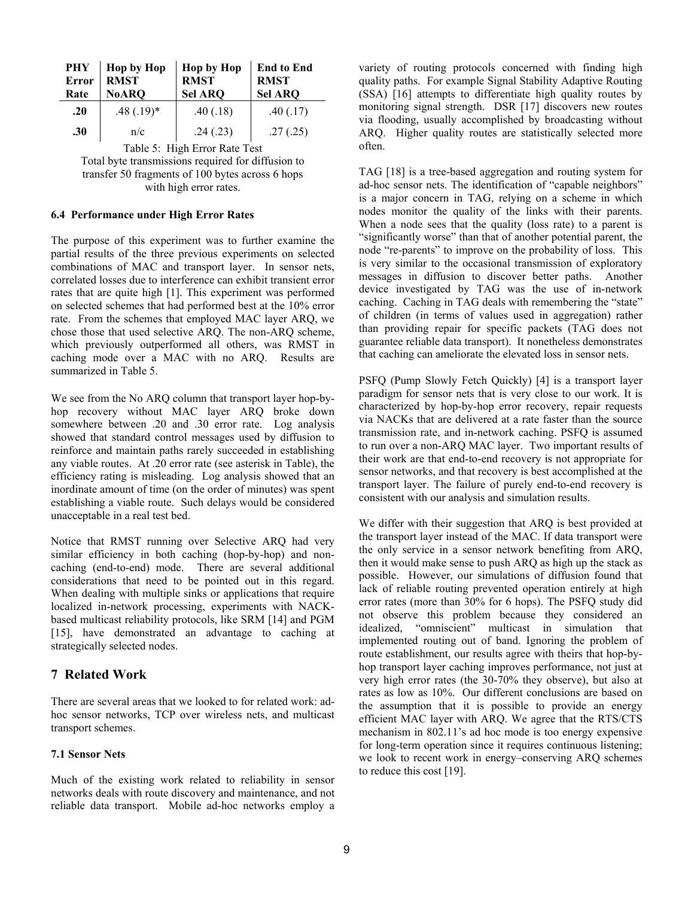| PHY<br><b>Error</b><br>Rate   | <b>Hop by Hop</b><br><b>RMST</b><br><b>NoARQ</b> | <b>Hop by Hop</b><br><b>RMST</b><br><b>Sel ARQ</b> | <b>End to End</b><br><b>RMST</b><br><b>Sel ARQ</b> |
|-------------------------------|--------------------------------------------------|----------------------------------------------------|----------------------------------------------------|
| .20                           | $.48(.19)*$                                      | .40(.18)                                           | .40(.17)                                           |
| .30                           | n/c                                              | .24(.23)                                           | .27(.25)                                           |
| Table 5: High Error Rate Test |                                                  |                                                    |                                                    |

Total byte transmissions required for diffusion to transfer 50 fragments of 100 bytes across 6 hops with high error rates.

#### **6.4 Performance under High Error Rates**

The purpose of this experiment was to further examine the partial results of the three previous experiments on selected combinations of MAC and transport layer. In sensor nets, correlated losses due to interference can exhibit transient error rates that are quite high [1]. This experiment was performed on selected schemes that had performed best at the 10% error rate. From the schemes that employed MAC layer ARQ, we chose those that used selective ARQ. The non-ARQ scheme, which previously outperformed all others, was RMST in caching mode over a MAC with no ARQ. Results are summarized in Table 5.

We see from the No ARQ column that transport layer hop-byhop recovery without MAC layer ARQ broke down somewhere between .20 and .30 error rate. Log analysis showed that standard control messages used by diffusion to reinforce and maintain paths rarely succeeded in establishing any viable routes. At .20 error rate (see asterisk in Table), the efficiency rating is misleading. Log analysis showed that an inordinate amount of time (on the order of minutes) was spent establishing a viable route. Such delays would be considered unacceptable in a real test bed.

Notice that RMST running over Selective ARQ had very similar efficiency in both caching (hop-by-hop) and noncaching (end-to-end) mode. There are several additional considerations that need to be pointed out in this regard. When dealing with multiple sinks or applications that require localized in-network processing, experiments with NACKbased multicast reliability protocols, like SRM [14] and PGM [15], have demonstrated an advantage to caching at strategically selected nodes.

## **7 Related Work**

There are several areas that we looked to for related work: adhoc sensor networks, TCP over wireless nets, and multicast transport schemes.

#### **7.1 Sensor Nets**

Much of the existing work related to reliability in sensor networks deals with route discovery and maintenance, and not reliable data transport. Mobile ad-hoc networks employ a

variety of routing protocols concerned with finding high quality paths. For example Signal Stability Adaptive Routing (SSA) [16] attempts to differentiate high quality routes by monitoring signal strength. DSR [17] discovers new routes via flooding, usually accomplished by broadcasting without ARQ. Higher quality routes are statistically selected more often.

TAG [18] is a tree-based aggregation and routing system for ad-hoc sensor nets. The identification of "capable neighbors" is a major concern in TAG, relying on a scheme in which nodes monitor the quality of the links with their parents. When a node sees that the quality (loss rate) to a parent is "significantly worse" than that of another potential parent, the node "re-parents" to improve on the probability of loss. This is very similar to the occasional transmission of exploratory messages in diffusion to discover better paths. Another device investigated by TAG was the use of in-network caching. Caching in TAG deals with remembering the "state" of children (in terms of values used in aggregation) rather than providing repair for specific packets (TAG does not guarantee reliable data transport). It nonetheless demonstrates that caching can ameliorate the elevated loss in sensor nets.

PSFQ (Pump Slowly Fetch Quickly) [4] is a transport layer paradigm for sensor nets that is very close to our work. It is characterized by hop-by-hop error recovery, repair requests via NACKs that are delivered at a rate faster than the source transmission rate, and in-network caching. PSFQ is assumed to run over a non-ARQ MAC layer. Two important results of their work are that end-to-end recovery is not appropriate for sensor networks, and that recovery is best accomplished at the transport layer. The failure of purely end-to-end recovery is consistent with our analysis and simulation results.

We differ with their suggestion that ARQ is best provided at the transport layer instead of the MAC. If data transport were the only service in a sensor network benefiting from ARQ, then it would make sense to push ARQ as high up the stack as possible. However, our simulations of diffusion found that lack of reliable routing prevented operation entirely at high error rates (more than 30% for 6 hops). The PSFQ study did not observe this problem because they considered an idealized, "omniscient" multicast in simulation that implemented routing out of band. Ignoring the problem of route establishment, our results agree with theirs that hop-byhop transport layer caching improves performance, not just at very high error rates (the 30-70% they observe), but also at rates as low as 10%. Our different conclusions are based on the assumption that it is possible to provide an energy efficient MAC layer with ARQ. We agree that the RTS/CTS mechanism in 802.11's ad hoc mode is too energy expensive for long-term operation since it requires continuous listening; we look to recent work in energy–conserving ARQ schemes to reduce this cost [19].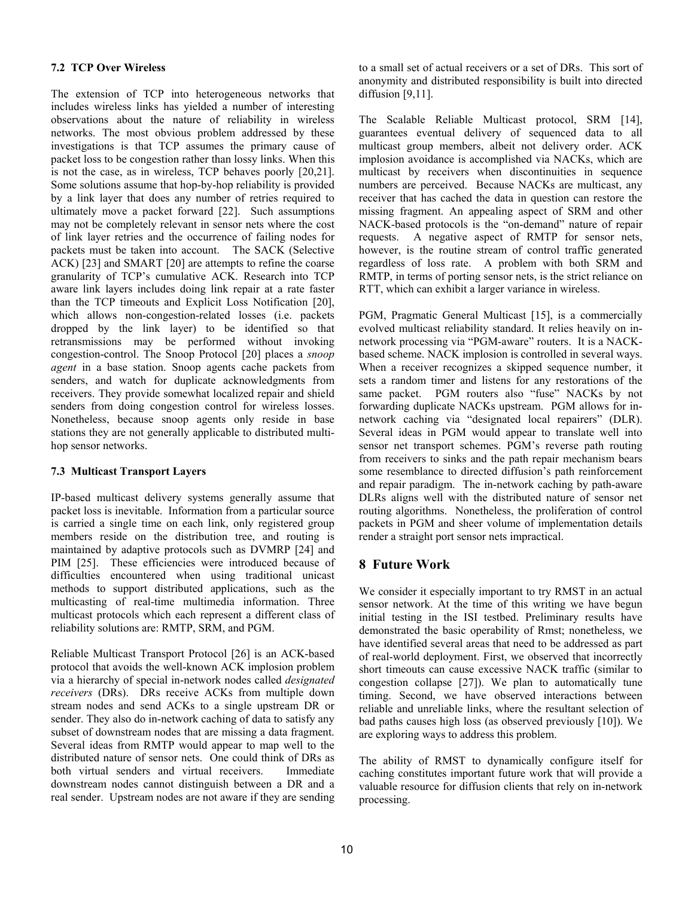### **7.2 TCP Over Wireless**

The extension of TCP into heterogeneous networks that includes wireless links has yielded a number of interesting observations about the nature of reliability in wireless networks. The most obvious problem addressed by these investigations is that TCP assumes the primary cause of packet loss to be congestion rather than lossy links. When this is not the case, as in wireless, TCP behaves poorly [20,21]. Some solutions assume that hop-by-hop reliability is provided by a link layer that does any number of retries required to ultimately move a packet forward [22]. Such assumptions may not be completely relevant in sensor nets where the cost of link layer retries and the occurrence of failing nodes for packets must be taken into account. The SACK (Selective ACK) [23] and SMART [20] are attempts to refine the coarse granularity of TCP's cumulative ACK. Research into TCP aware link layers includes doing link repair at a rate faster than the TCP timeouts and Explicit Loss Notification [20], which allows non-congestion-related losses (i.e. packets dropped by the link layer) to be identified so that retransmissions may be performed without invoking congestion-control. The Snoop Protocol [20] places a *snoop agent* in a base station. Snoop agents cache packets from senders, and watch for duplicate acknowledgments from receivers. They provide somewhat localized repair and shield senders from doing congestion control for wireless losses. Nonetheless, because snoop agents only reside in base stations they are not generally applicable to distributed multihop sensor networks.

### **7.3 Multicast Transport Layers**

IP-based multicast delivery systems generally assume that packet loss is inevitable. Information from a particular source is carried a single time on each link, only registered group members reside on the distribution tree, and routing is maintained by adaptive protocols such as DVMRP [24] and PIM [25]. These efficiencies were introduced because of difficulties encountered when using traditional unicast methods to support distributed applications, such as the multicasting of real-time multimedia information. Three multicast protocols which each represent a different class of reliability solutions are: RMTP, SRM, and PGM.

Reliable Multicast Transport Protocol [26] is an ACK-based protocol that avoids the well-known ACK implosion problem via a hierarchy of special in-network nodes called *designated receivers* (DRs). DRs receive ACKs from multiple down stream nodes and send ACKs to a single upstream DR or sender. They also do in-network caching of data to satisfy any subset of downstream nodes that are missing a data fragment. Several ideas from RMTP would appear to map well to the distributed nature of sensor nets. One could think of DRs as both virtual senders and virtual receivers. Immediate downstream nodes cannot distinguish between a DR and a real sender. Upstream nodes are not aware if they are sending

to a small set of actual receivers or a set of DRs. This sort of anonymity and distributed responsibility is built into directed diffusion [9,11].

The Scalable Reliable Multicast protocol, SRM [14], guarantees eventual delivery of sequenced data to all multicast group members, albeit not delivery order. ACK implosion avoidance is accomplished via NACKs, which are multicast by receivers when discontinuities in sequence numbers are perceived. Because NACKs are multicast, any receiver that has cached the data in question can restore the missing fragment. An appealing aspect of SRM and other NACK-based protocols is the "on-demand" nature of repair requests. A negative aspect of RMTP for sensor nets, however, is the routine stream of control traffic generated regardless of loss rate. A problem with both SRM and RMTP, in terms of porting sensor nets, is the strict reliance on RTT, which can exhibit a larger variance in wireless.

PGM, Pragmatic General Multicast [15], is a commercially evolved multicast reliability standard. It relies heavily on innetwork processing via "PGM-aware" routers. It is a NACKbased scheme. NACK implosion is controlled in several ways. When a receiver recognizes a skipped sequence number, it sets a random timer and listens for any restorations of the same packet. PGM routers also "fuse" NACKs by not forwarding duplicate NACKs upstream. PGM allows for innetwork caching via "designated local repairers" (DLR). Several ideas in PGM would appear to translate well into sensor net transport schemes. PGM's reverse path routing from receivers to sinks and the path repair mechanism bears some resemblance to directed diffusion's path reinforcement and repair paradigm. The in-network caching by path-aware DLRs aligns well with the distributed nature of sensor net routing algorithms. Nonetheless, the proliferation of control packets in PGM and sheer volume of implementation details render a straight port sensor nets impractical.

# **8 Future Work**

We consider it especially important to try RMST in an actual sensor network. At the time of this writing we have begun initial testing in the ISI testbed. Preliminary results have demonstrated the basic operability of Rmst; nonetheless, we have identified several areas that need to be addressed as part of real-world deployment. First, we observed that incorrectly short timeouts can cause excessive NACK traffic (similar to congestion collapse [27]). We plan to automatically tune timing. Second, we have observed interactions between reliable and unreliable links, where the resultant selection of bad paths causes high loss (as observed previously [10]). We are exploring ways to address this problem.

The ability of RMST to dynamically configure itself for caching constitutes important future work that will provide a valuable resource for diffusion clients that rely on in-network processing.